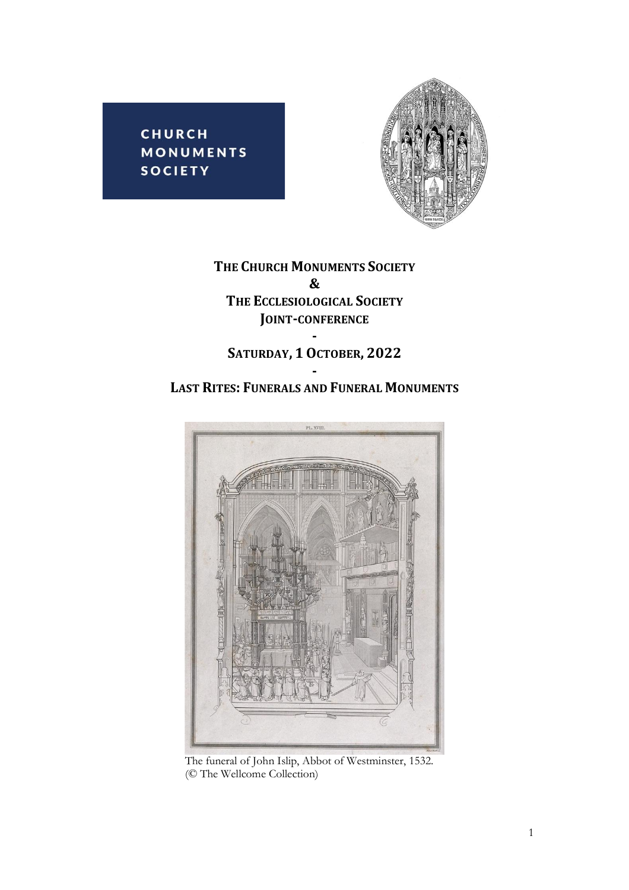**CHURCH MONUMENTS SOCIETY** 



**THE CHURCH MONUMENTS SOCIETY & THE ECCLESIOLOGICAL SOCIETY JOINT-CONFERENCE -**

## **SATURDAY, 1 OCTOBER, 2022 -**

## **LAST RITES: FUNERALS AND FUNERAL MONUMENTS**



The funeral of John Islip, Abbot of Westminster, 1532. (© The Wellcome Collection)